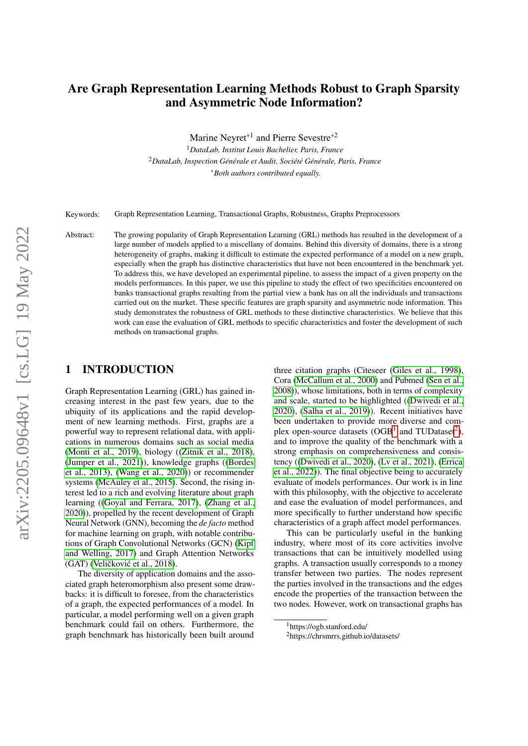# <span id="page-0-0"></span>Are Graph Representation Learning Methods Robust to Graph Sparsity and Asymmetric Node Information?

Marine Neyret<sup>\*1</sup> and Pierre Sevestre<sup>\*2</sup>

<sup>1</sup>*DataLab, Institut Louis Bachelier, Paris, France* <sup>2</sup>*DataLab, Inspection Générale et Audit, Société Générale, Paris, France* <sup>∗</sup>*Both authors contributed equally.*

Keywords: Graph Representation Learning, Transactional Graphs, Robustness, Graphs Preprocessors

Abstract: The growing popularity of Graph Representation Learning (GRL) methods has resulted in the development of a large number of models applied to a miscellany of domains. Behind this diversity of domains, there is a strong heterogeneity of graphs, making it difficult to estimate the expected performance of a model on a new graph, especially when the graph has distinctive characteristics that have not been encountered in the benchmark yet. To address this, we have developed an experimental pipeline, to assess the impact of a given property on the models performances. In this paper, we use this pipeline to study the effect of two specificities encountered on banks transactional graphs resulting from the partial view a bank has on all the individuals and transactions carried out on the market. These specific features are graph sparsity and asymmetric node information. This study demonstrates the robustness of GRL methods to these distinctive characteristics. We believe that this work can ease the evaluation of GRL methods to specific characteristics and foster the development of such methods on transactional graphs.

### 1 INTRODUCTION

Graph Representation Learning (GRL) has gained increasing interest in the past few years, due to the ubiquity of its applications and the rapid development of new learning methods. First, graphs are a powerful way to represent relational data, with applications in numerous domains such as social media [\(Monti et al., 2019\)](#page-7-0), biology ([\(Zitnik et al., 2018\)](#page-7-1), [\(Jumper et al., 2021\)](#page-7-2)), knowledge graphs ([\(Bordes](#page-7-3) [et al., 2013\)](#page-7-3), [\(Wang et al., 2020\)](#page-7-4)) or recommender systems [\(McAuley et al., 2015\)](#page-7-5). Second, the rising interest led to a rich and evolving literature about graph learning ([\(Goyal and Ferrara, 2017\)](#page-7-6), [\(Zhang et al.,](#page-7-7) [2020\)](#page-7-7)), propelled by the recent development of Graph Neural Network (GNN), becoming the *de facto* method for machine learning on graph, with notable contributions of Graph Convolutional Networks (GCN) [\(Kipf](#page-7-8) [and Welling, 2017\)](#page-7-8) and Graph Attention Networks (GAT) (Veličković et al., 2018).

The diversity of application domains and the associated graph heteromorphism also present some drawbacks: it is difficult to foresee, from the characteristics of a graph, the expected performances of a model. In particular, a model performing well on a given graph benchmark could fail on others. Furthermore, the graph benchmark has historically been built around three citation graphs (Citeseer [\(Giles et al., 1998\)](#page-7-10), Cora [\(McCallum et al., 2000\)](#page-7-11) and Pubmed [\(Sen et al.,](#page-7-12) [2008\)](#page-7-12)), whose limitations, both in terms of complexity and scale, started to be highlighted ([\(Dwivedi et al.,](#page-7-13) [2020\)](#page-7-13), [\(Salha et al., 2019\)](#page-7-14)). Recent initiatives have been undertaken to provide more diverse and complex open-source datasets  $(OGB<sup>1</sup>$  and TUDataset<sup>2</sup>), and to improve the quality of the benchmark with a strong emphasis on comprehensiveness and consistency ([\(Dwivedi et al., 2020\)](#page-7-13), [\(Lv et al., 2021\)](#page-7-15), [\(Errica](#page-7-16) [et al., 2022\)](#page-7-16)). The final objective being to accurately evaluate of models performances. Our work is in line with this philosophy, with the objective to accelerate and ease the evaluation of model performances, and more specifically to further understand how specific characteristics of a graph affect model performances.

This can be particularly useful in the banking industry, where most of its core activities involve transactions that can be intuitively modelled using graphs. A transaction usually corresponds to a money transfer between two parties. The nodes represent the parties involved in the transactions and the edges encode the properties of the transaction between the two nodes. However, work on transactional graphs has

<sup>1</sup>https://ogb.stanford.edu/

<sup>2</sup>https://chrsmrrs.github.io/datasets/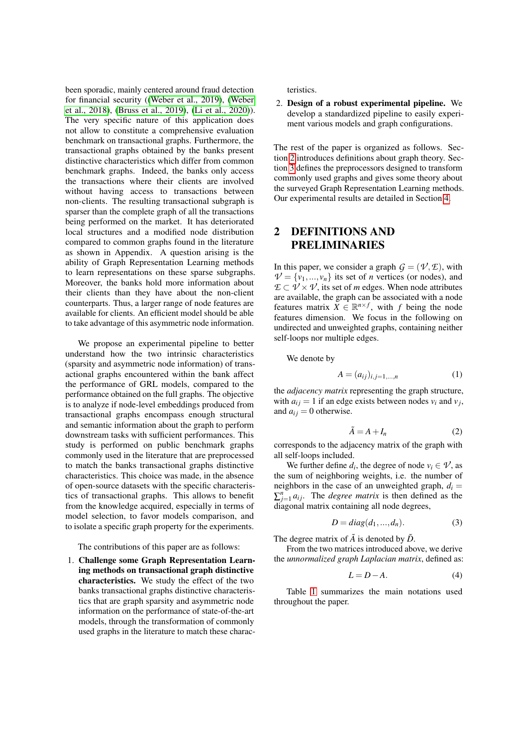been sporadic, mainly centered around fraud detection for financial security ([\(Weber et al., 2019\)](#page-7-17), [\(Weber](#page-7-18) [et al., 2018\)](#page-7-18), [\(Bruss et al., 2019\)](#page-7-19), [\(Li et al., 2020\)](#page-7-20)). The very specific nature of this application does not allow to constitute a comprehensive evaluation benchmark on transactional graphs. Furthermore, the transactional graphs obtained by the banks present distinctive characteristics which differ from common benchmark graphs. Indeed, the banks only access the transactions where their clients are involved without having access to transactions between non-clients. The resulting transactional subgraph is sparser than the complete graph of all the transactions being performed on the market. It has deteriorated local structures and a modified node distribution compared to common graphs found in the literature as shown in Appendix. A question arising is the ability of Graph Representation Learning methods to learn representations on these sparse subgraphs. Moreover, the banks hold more information about their clients than they have about the non-client counterparts. Thus, a larger range of node features are available for clients. An efficient model should be able to take advantage of this asymmetric node information.

We propose an experimental pipeline to better understand how the two intrinsic characteristics (sparsity and asymmetric node information) of transactional graphs encountered within the bank affect the performance of GRL models, compared to the performance obtained on the full graphs. The objective is to analyze if node-level embeddings produced from transactional graphs encompass enough structural and semantic information about the graph to perform downstream tasks with sufficient performances. This study is performed on public benchmark graphs commonly used in the literature that are preprocessed to match the banks transactional graphs distinctive characteristics. This choice was made, in the absence of open-source datasets with the specific characteristics of transactional graphs. This allows to benefit from the knowledge acquired, especially in terms of model selection, to favor models comparison, and to isolate a specific graph property for the experiments.

#### The contributions of this paper are as follows:

1. Challenge some Graph Representation Learning methods on transactional graph distinctive characteristics. We study the effect of the two banks transactional graphs distinctive characteristics that are graph sparsity and asymmetric node information on the performance of state-of-the-art models, through the transformation of commonly used graphs in the literature to match these characteristics.

2. Design of a robust experimental pipeline. We develop a standardized pipeline to easily experiment various models and graph configurations.

The rest of the paper is organized as follows. Section [2](#page-1-0) introduces definitions about graph theory. Section [3](#page-2-0) defines the preprocessors designed to transform commonly used graphs and gives some theory about the surveyed Graph Representation Learning methods. Our experimental results are detailed in Section [4.](#page-4-0)

## <span id="page-1-0"></span>2 DEFINITIONS AND PRELIMINARIES

In this paper, we consider a graph  $G = (\mathcal{V}, \mathcal{E})$ , with  $V = \{v_1, \ldots, v_n\}$  its set of *n* vertices (or nodes), and  $E \subset V \times V$ , its set of *m* edges. When node attributes are available, the graph can be associated with a node features matrix  $\overline{X} \in \mathbb{R}^{n \times f}$ , with *f* being the node features dimension. We focus in the following on undirected and unweighted graphs, containing neither self-loops nor multiple edges.

We denote by

$$
A = (a_{ij})_{i,j=1,...,n}
$$
 (1)

the *adjacency matrix* representing the graph structure, with  $a_{ij} = 1$  if an edge exists between nodes  $v_i$  and  $v_j$ , and  $a_{ij} = 0$  otherwise.

$$
\tilde{A} = A + I_n \tag{2}
$$

corresponds to the adjacency matrix of the graph with all self-loops included.

We further define  $d_i$ , the degree of node  $v_i \in \mathcal{V}$ , as the sum of neighboring weights, i.e. the number of neighbors in the case of an unweighted graph,  $d_i =$  $\sum_{j=1}^{n} a_{ij}$ . The *degree matrix* is then defined as the diagonal matrix containing all node degrees,

$$
D = diag(d_1, ..., d_n). \tag{3}
$$

The degree matrix of  $\tilde{A}$  is denoted by  $\tilde{D}$ .

From the two matrices introduced above, we derive the *unnormalized graph Laplacian matrix*, defined as:

$$
L = D - A.\t\t(4)
$$

Table [1](#page-2-1) summarizes the main notations used throughout the paper.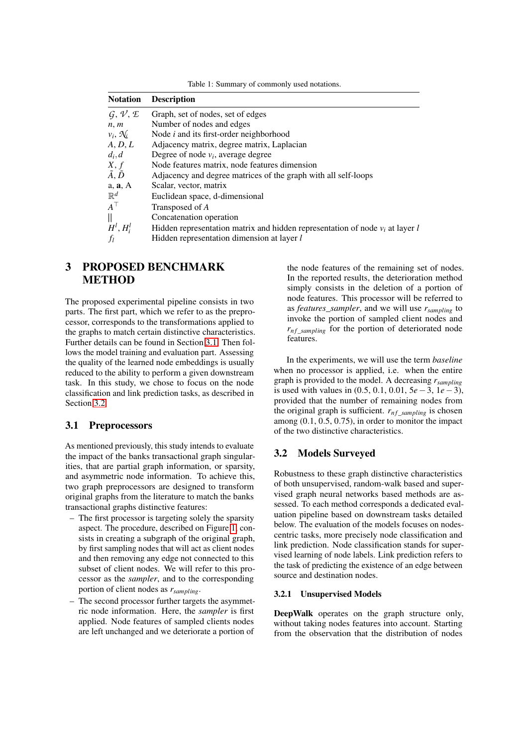Table 1: Summary of commonly used notations.

<span id="page-2-1"></span>

| <b>Notation</b>                         | <b>Description</b>                                                              |
|-----------------------------------------|---------------------------------------------------------------------------------|
| $\mathcal{G}, \mathcal{V}, \mathcal{E}$ | Graph, set of nodes, set of edges                                               |
| n, m                                    | Number of nodes and edges                                                       |
| $v_i, \mathcal{N}_i$                    | Node $i$ and its first-order neighborhood                                       |
| A, D, L                                 | Adjacency matrix, degree matrix, Laplacian                                      |
| $d_i, d$                                | Degree of node $v_i$ , average degree                                           |
| X, f                                    | Node features matrix, node features dimension                                   |
| $\tilde{A}, \tilde{D}$                  | Adjacency and degree matrices of the graph with all self-loops                  |
| a, a, A                                 | Scalar, vector, matrix                                                          |
| $\mathbb{R}^d$                          | Euclidean space, d-dimensional                                                  |
| $A^{\top}$                              | Transposed of A                                                                 |
| $\parallel$                             | Concatenation operation                                                         |
| $H^l$ , $H_i^l$                         | Hidden representation matrix and hidden representation of node $v_i$ at layer l |
| $f_l$                                   | Hidden representation dimension at layer l                                      |

## <span id="page-2-0"></span>3 PROPOSED BENCHMARK **METHOD**

The proposed experimental pipeline consists in two parts. The first part, which we refer to as the preprocessor, corresponds to the transformations applied to the graphs to match certain distinctive characteristics. Further details can be found in Section [3.1.](#page-2-2) Then follows the model training and evaluation part. Assessing the quality of the learned node embeddings is usually reduced to the ability to perform a given downstream task. In this study, we chose to focus on the node classification and link prediction tasks, as described in Section [3.2.](#page-2-3)

### <span id="page-2-2"></span>3.1 Preprocessors

As mentioned previously, this study intends to evaluate the impact of the banks transactional graph singularities, that are partial graph information, or sparsity, and asymmetric node information. To achieve this, two graph preprocessors are designed to transform original graphs from the literature to match the banks transactional graphs distinctive features:

- The first processor is targeting solely the sparsity aspect. The procedure, described on Figure [1,](#page-3-0) consists in creating a subgraph of the original graph, by first sampling nodes that will act as client nodes and then removing any edge not connected to this subset of client nodes. We will refer to this processor as the *sampler*, and to the corresponding portion of client nodes as *rsampling*.
- The second processor further targets the asymmetric node information. Here, the *sampler* is first applied. Node features of sampled clients nodes are left unchanged and we deteriorate a portion of

the node features of the remaining set of nodes. In the reported results, the deterioration method simply consists in the deletion of a portion of node features. This processor will be referred to as *features\_sampler*, and we will use *rsampling* to invoke the portion of sampled client nodes and  $r_{nf\_sampling}$  for the portion of deteriorated node features.

In the experiments, we will use the term *baseline* when no processor is applied, i.e. when the entire graph is provided to the model. A decreasing *rsampling* is used with values in (0.5, 0.1, 0.01, 5*e*−3, 1*e*−3), provided that the number of remaining nodes from the original graph is sufficient.  $r_{nf\_sampling}$  is chosen among (0.1, 0.5, 0.75), in order to monitor the impact of the two distinctive characteristics.

#### <span id="page-2-3"></span>3.2 Models Surveyed

Robustness to these graph distinctive characteristics of both unsupervised, random-walk based and supervised graph neural networks based methods are assessed. To each method corresponds a dedicated evaluation pipeline based on downstream tasks detailed below. The evaluation of the models focuses on nodescentric tasks, more precisely node classification and link prediction. Node classification stands for supervised learning of node labels. Link prediction refers to the task of predicting the existence of an edge between source and destination nodes.

#### 3.2.1 Unsupervised Models

DeepWalk operates on the graph structure only, without taking nodes features into account. Starting from the observation that the distribution of nodes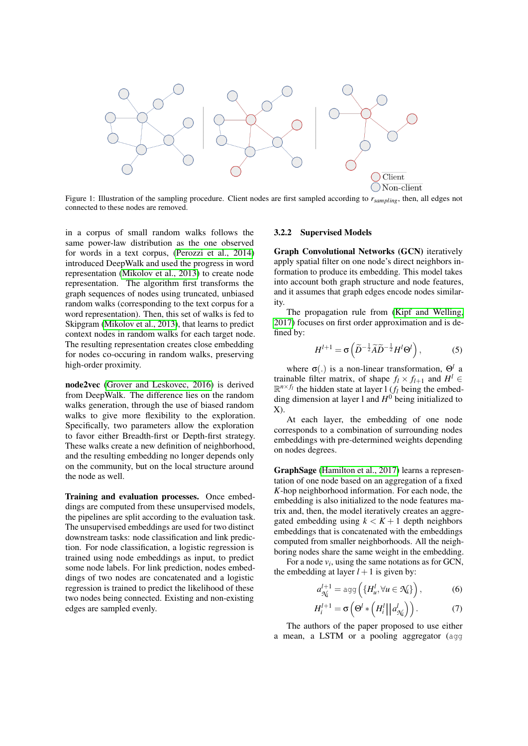<span id="page-3-0"></span>

Figure 1: Illustration of the sampling procedure. Client nodes are first sampled according to *rsampling*, then, all edges not connected to these nodes are removed.

in a corpus of small random walks follows the same power-law distribution as the one observed for words in a text corpus, [\(Perozzi et al., 2014\)](#page-7-21) introduced DeepWalk and used the progress in word representation [\(Mikolov et al., 2013\)](#page-7-22) to create node representation. The algorithm first transforms the graph sequences of nodes using truncated, unbiased random walks (corresponding to the text corpus for a word representation). Then, this set of walks is fed to Skipgram [\(Mikolov et al., 2013\)](#page-7-22), that learns to predict context nodes in random walks for each target node. The resulting representation creates close embedding for nodes co-occuring in random walks, preserving high-order proximity.

node2vec [\(Grover and Leskovec, 2016\)](#page-7-23) is derived from DeepWalk. The difference lies on the random walks generation, through the use of biased random walks to give more flexibility to the exploration. Specifically, two parameters allow the exploration to favor either Breadth-first or Depth-first strategy. These walks create a new definition of neighborhood, and the resulting embedding no longer depends only on the community, but on the local structure around the node as well.

Training and evaluation processes. Once embeddings are computed from these unsupervised models, the pipelines are split according to the evaluation task. The unsupervised embeddings are used for two distinct downstream tasks: node classification and link prediction. For node classification, a logistic regression is trained using node embeddings as input, to predict some node labels. For link prediction, nodes embeddings of two nodes are concatenated and a logistic regression is trained to predict the likelihood of these two nodes being connected. Existing and non-existing edges are sampled evenly.

#### 3.2.2 Supervised Models

Graph Convolutional Networks (GCN) iteratively apply spatial filter on one node's direct neighbors information to produce its embedding. This model takes into account both graph structure and node features, and it assumes that graph edges encode nodes similarity.

The propagation rule from [\(Kipf and Welling,](#page-7-8) [2017\)](#page-7-8) focuses on first order approximation and is defined by:

$$
H^{l+1} = \sigma\left(\widetilde{D}^{-\frac{1}{2}}\widetilde{A}\widetilde{D}^{-\frac{1}{2}}H^{l}\Theta^{l}\right),\tag{5}
$$

where σ(.) is a non-linear transformation, Θ*<sup>l</sup>* a trainable filter matrix, of shape  $f_l \times f_{l+1}$  and  $H^l \in$  $\mathbb{R}^{n \times f_l}$  the hidden state at layer 1 (*f<sub>l</sub>* being the embedding dimension at layer 1 and  $H^0$  being initialized to X).

At each layer, the embedding of one node corresponds to a combination of surrounding nodes embeddings with pre-determined weights depending on nodes degrees.

GraphSage [\(Hamilton et al., 2017\)](#page-7-24) learns a representation of one node based on an aggregation of a fixed *K*-hop neighborhood information. For each node, the embedding is also initialized to the node features matrix and, then, the model iteratively creates an aggregated embedding using  $k < K + 1$  depth neighbors embeddings that is concatenated with the embeddings computed from smaller neighborhoods. All the neighboring nodes share the same weight in the embedding.

For a node  $v_i$ , using the same notations as for GCN, the embedding at layer  $l + 1$  is given by:

$$
a_{\mathcal{N}_i}^{l+1} = \text{agg}\left(\{H_u^l, \forall u \in \mathcal{N}_i\}\right),\tag{6}
$$

$$
H_i^{l+1} = \sigma\left(\Theta^l * \left(H_i^l||a_{\mathcal{H}}^l\right)\right). \tag{7}
$$

The authors of the paper proposed to use either a mean, a LSTM or a pooling aggregator (agg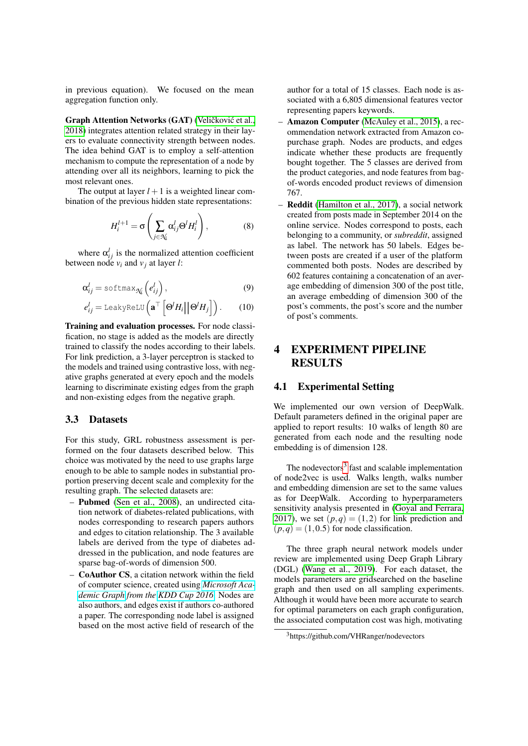in previous equation). We focused on the mean aggregation function only.

Graph Attention Networks (GAT) (Veličković et al., [2018\)](#page-7-9) integrates attention related strategy in their layers to evaluate connectivity strength between nodes. The idea behind GAT is to employ a self-attention mechanism to compute the representation of a node by attending over all its neighbors, learning to pick the most relevant ones.

The output at layer  $l + 1$  is a weighted linear combination of the previous hidden state representations:

$$
H_i^{l+1} = \sigma\left(\sum_{j \in \mathcal{N}_i} \alpha_{ij}^l \Theta^l H_i^l\right),\tag{8}
$$

where  $\alpha_{ij}^l$  is the normalized attention coefficient between node  $v_i$  and  $v_j$  at layer *l*:

$$
\alpha_{ij}^l = \text{softmax}_{\mathcal{N}_i} \left( e_{ij}^l \right), \tag{9}
$$

$$
e_{ij}^l = \text{LeakyReLU}\left(\mathbf{a}^\top \left[\Theta^l H_i \middle| \Theta^l H_j\right]\right). \qquad (10)
$$

Training and evaluation processes. For node classification, no stage is added as the models are directly trained to classify the nodes according to their labels. For link prediction, a 3-layer perceptron is stacked to the models and trained using contrastive loss, with negative graphs generated at every epoch and the models learning to discriminate existing edges from the graph and non-existing edges from the negative graph.

#### 3.3 Datasets

For this study, GRL robustness assessment is performed on the four datasets described below. This choice was motivated by the need to use graphs large enough to be able to sample nodes in substantial proportion preserving decent scale and complexity for the resulting graph. The selected datasets are:

- Pubmed [\(Sen et al., 2008\)](#page-7-12), an undirected citation network of diabetes-related publications, with nodes corresponding to research papers authors and edges to citation relationship. The 3 available labels are derived from the type of diabetes addressed in the publication, and node features are sparse bag-of-words of dimension 500.
- CoAuthor CS, a citation network within the field of computer science, created using *[Microsoft Aca](https://www.microsoft.com/en-us/research/project/microsoft-academic-graph/)[demic Graph](https://www.microsoft.com/en-us/research/project/microsoft-academic-graph/) from the [KDD Cup 2016](https://www.kdd.org/kdd-cup/view/kdd-cup-2016)*. Nodes are also authors, and edges exist if authors co-authored a paper. The corresponding node label is assigned based on the most active field of research of the

author for a total of 15 classes. Each node is associated with a 6,805 dimensional features vector representing papers keywords.

- Amazon Computer [\(McAuley et al., 2015\)](#page-7-5), a recommendation network extracted from Amazon copurchase graph. Nodes are products, and edges indicate whether these products are frequently bought together. The 5 classes are derived from the product categories, and node features from bagof-words encoded product reviews of dimension 767.
- Reddit [\(Hamilton et al., 2017\)](#page-7-24), a social network created from posts made in September 2014 on the online service. Nodes correspond to posts, each belonging to a community, or *subreddit*, assigned as label. The network has 50 labels. Edges between posts are created if a user of the platform commented both posts. Nodes are described by 602 features containing a concatenation of an average embedding of dimension 300 of the post title, an average embedding of dimension 300 of the post's comments, the post's score and the number of post's comments.

# <span id="page-4-0"></span>4 EXPERIMENT PIPELINE RESULTS

#### 4.1 Experimental Setting

We implemented our own version of DeepWalk. Default parameters defined in the original paper are applied to report results: 10 walks of length 80 are generated from each node and the resulting node embedding is of dimension 128.

The nodevectors<sup>[3](#page-0-0)</sup> fast and scalable implementation of node2vec is used. Walks length, walks number and embedding dimension are set to the same values as for DeepWalk. According to hyperparameters sensitivity analysis presented in [\(Goyal and Ferrara,](#page-7-6) [2017\)](#page-7-6), we set  $(p,q) = (1,2)$  for link prediction and  $(p,q) = (1,0.5)$  for node classification.

The three graph neural network models under review are implemented using Deep Graph Library (DGL) [\(Wang et al., 2019\)](#page-7-25). For each dataset, the models parameters are gridsearched on the baseline graph and then used on all sampling experiments. Although it would have been more accurate to search for optimal parameters on each graph configuration, the associated computation cost was high, motivating

<sup>3</sup>https://github.com/VHRanger/nodevectors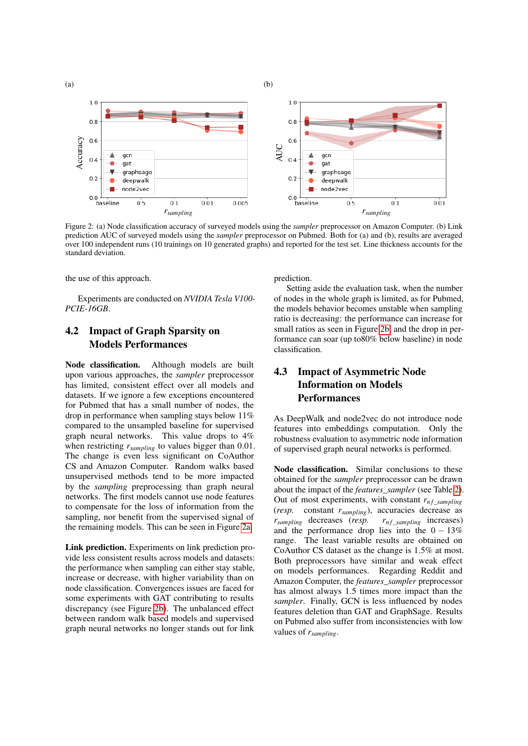<span id="page-5-0"></span>

Figure 2: (a) Node classification accuracy of surveyed models using the *sampler* preprocessor on Amazon Computer. (b) Link prediction AUC of surveyed models using the *sampler* preprocessor on Pubmed. Both for (a) and (b), results are averaged over 100 independent runs (10 trainings on 10 generated graphs) and reported for the test set. Line thickness accounts for the standard deviation.

the use of this approach.

Experiments are conducted on *NVIDIA Tesla V100- PCIE-16GB*.

### 4.2 Impact of Graph Sparsity on Models Performances

Node classification. Although models are built upon various approaches, the *sampler* preprocessor has limited, consistent effect over all models and datasets. If we ignore a few exceptions encountered for Pubmed that has a small number of nodes, the drop in performance when sampling stays below 11% compared to the unsampled baseline for supervised graph neural networks. This value drops to 4% when restricting *rsampling* to values bigger than 0.01. The change is even less significant on CoAuthor CS and Amazon Computer. Random walks based unsupervised methods tend to be more impacted by the *sampling* preprocessing than graph neural networks. The first models cannot use node features to compensate for the loss of information from the sampling, nor benefit from the supervised signal of the remaining models. This can be seen in Figure [2a.](#page-5-0)

Link prediction. Experiments on link prediction provide less consistent results across models and datasets: the performance when sampling can either stay stable, increase or decrease, with higher variability than on node classification. Convergences issues are faced for some experiments with GAT contributing to results discrepancy (see Figure [2b\)](#page-5-0). The unbalanced effect between random walk based models and supervised graph neural networks no longer stands out for link

prediction.

Setting aside the evaluation task, when the number of nodes in the whole graph is limited, as for Pubmed, the models behavior becomes unstable when sampling ratio is decreasing: the performance can increase for small ratios as seen in Figure [2b,](#page-5-0) and the drop in performance can soar (up to80% below baseline) in node classification.

# 4.3 Impact of Asymmetric Node Information on Models Performances

As DeepWalk and node2vec do not introduce node features into embeddings computation. Only the robustness evaluation to asymmetric node information of supervised graph neural networks is performed.

Node classification. Similar conclusions to these obtained for the *sampler* preprocessor can be drawn about the impact of the *features\_sampler* (see Table [2\)](#page-6-0). Out of most experiments, with constant  $r_{nf\_sampling}$ <br>(*resp.* constant  $r_{sampling}$ ), accuracies decrease as constant *r*<sub>sampling</sub>), accuracies decrease as decreases (*resp.*  $r_{nf\_sampling}$  increases)  $r_{sampling}$  decreases (*resp.* and the performance drop lies into the  $0 - 13\%$ range. The least variable results are obtained on CoAuthor CS dataset as the change is 1.5% at most. Both preprocessors have similar and weak effect on models performances. Regarding Reddit and Amazon Computer, the *features\_sampler* preprocessor has almost always 1.5 times more impact than the *sampler*. Finally, GCN is less influenced by nodes features deletion than GAT and GraphSage. Results on Pubmed also suffer from inconsistencies with low values of *rsampling*.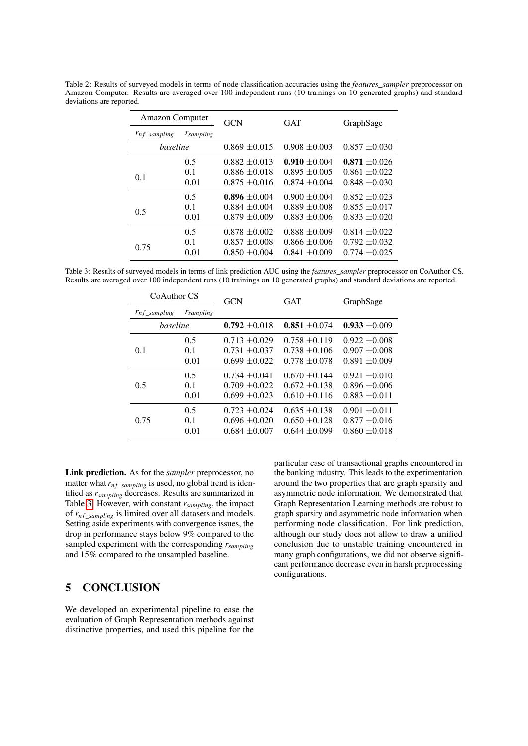<span id="page-6-0"></span>Table 2: Results of surveyed models in terms of node classification accuracies using the *features\_sampler* preprocessor on Amazon Computer. Results are averaged over 100 independent runs (10 trainings on 10 generated graphs) and standard deviations are reported.

| <b>Amazon Computer</b> |                | <b>GCN</b>        | <b>GAT</b>        | GraphSage         |  |
|------------------------|----------------|-------------------|-------------------|-------------------|--|
| $r_{nf\_sampling}$     | $r_{sampling}$ |                   |                   |                   |  |
| baseline               |                | $0.869 + 0.015$   | $0.908 \pm 0.003$ | $0.857 + 0.030$   |  |
|                        | 0.5            | $0.882 \pm 0.013$ | $0.910 + 0.004$   | $0.871 + 0.026$   |  |
| 0.1                    | 0.1            | $0.886 \pm 0.018$ | $0.895 \pm 0.005$ | $0.861 \pm 0.022$ |  |
|                        | 0.01           | $0.875 + 0.016$   | $0.874 + 0.004$   | $0.848 \pm 0.030$ |  |
|                        | 0.5            | $0.896 \pm 0.004$ | $0.900 \pm 0.004$ | $0.852 \pm 0.023$ |  |
| 0.5                    | 0.1            | $0.884 + 0.004$   | $0.889 + 0.008$   | $0.855 \pm 0.017$ |  |
|                        | 0.01           | $0.879 \pm 0.009$ | $0.883 \pm 0.006$ | $0.833 + 0.020$   |  |
|                        | 0.5            | $0.878 + 0.002$   | $0.888 + 0.009$   | $0.814 \pm 0.022$ |  |
| 0.75                   | 0.1            | $0.857 + 0.008$   | $0.866 \pm 0.006$ | $0.792 \pm 0.032$ |  |
|                        | 0.01           | $0.850 \pm 0.004$ | $0.841 + 0.009$   | $0.774 + 0.025$   |  |

<span id="page-6-1"></span>Table 3: Results of surveyed models in terms of link prediction AUC using the *features\_sampler* preprocessor on CoAuthor CS. Results are averaged over 100 independent runs (10 trainings on 10 generated graphs) and standard deviations are reported.

| CoAuthor CS        |                | <b>GCN</b>        | <b>GAT</b>        | GraphSage         |  |
|--------------------|----------------|-------------------|-------------------|-------------------|--|
| $r_{nf\_sampling}$ | $r_{sampling}$ |                   |                   |                   |  |
| baseline           |                | $0.792 \pm 0.018$ | $0.851 + 0.074$   | $0.933 \pm 0.009$ |  |
|                    | 0.5            | $0.713 \pm 0.029$ | $0.758 \pm 0.119$ | $0.922 \pm 0.008$ |  |
| 0.1                | 0.1            | $0.731 + 0.037$   | $0.738 \pm 0.106$ | $0.907 \pm 0.008$ |  |
|                    | 0.01           | $0.699 \pm 0.022$ | $0.778 + 0.078$   | $0.891 + 0.009$   |  |
|                    | 0.5            | $0.734 \pm 0.041$ | $0.670 + 0.144$   | $0.921 \pm 0.010$ |  |
| 0.5                | 0.1            | $0.709 + 0.022$   | $0.672 \pm 0.138$ | $0.896 + 0.006$   |  |
|                    | 0.01           | $0.699 \pm 0.023$ | $0.610 + 0.116$   | $0.883 + 0.011$   |  |
|                    | 0.5            | $0.723 \pm 0.024$ | $0.635 \pm 0.138$ | $0.901 \pm 0.011$ |  |
| 0.75               | 0.1            | $0.696 \pm 0.020$ | $0.650 \pm 0.128$ | $0.877 + 0.016$   |  |
|                    | 0.01           | $0.684 + 0.007$   | $0.644 + 0.099$   | $0.860 + 0.018$   |  |

Link prediction. As for the *sampler* preprocessor, no matter what  $r_{nf\_sampling}$  is used, no global trend is identified as *rsampling* decreases. Results are summarized in Table [3.](#page-6-1) However, with constant *rsampling*, the impact of  $r_{nf\_sampling}$  is limited over all datasets and models. Setting aside experiments with convergence issues, the drop in performance stays below 9% compared to the sampled experiment with the corresponding *rsampling* and 15% compared to the unsampled baseline.

## 5 CONCLUSION

We developed an experimental pipeline to ease the evaluation of Graph Representation methods against distinctive properties, and used this pipeline for the particular case of transactional graphs encountered in the banking industry. This leads to the experimentation around the two properties that are graph sparsity and asymmetric node information. We demonstrated that Graph Representation Learning methods are robust to graph sparsity and asymmetric node information when performing node classification. For link prediction, although our study does not allow to draw a unified conclusion due to unstable training encountered in many graph configurations, we did not observe significant performance decrease even in harsh preprocessing configurations.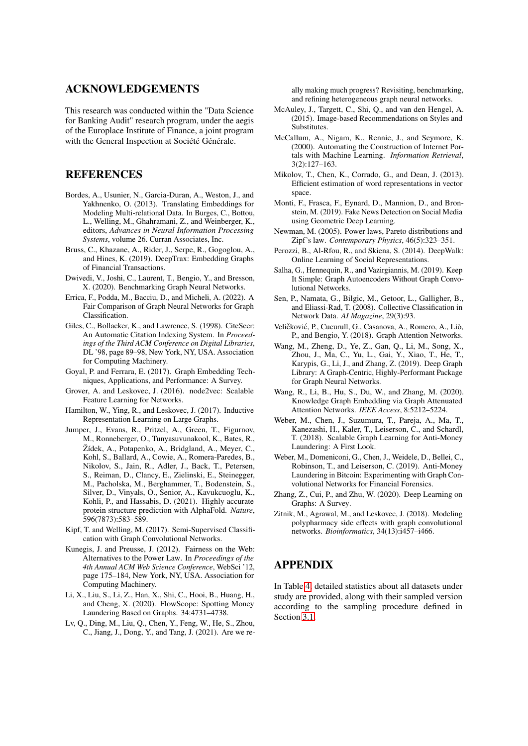## ACKNOWLEDGEMENTS

This research was conducted within the "Data Science for Banking Audit" research program, under the aegis of the Europlace Institute of Finance, a joint program with the General Inspection at Société Générale.

### **REFERENCES**

- <span id="page-7-3"></span>Bordes, A., Usunier, N., Garcia-Duran, A., Weston, J., and Yakhnenko, O. (2013). Translating Embeddings for Modeling Multi-relational Data. In Burges, C., Bottou, L., Welling, M., Ghahramani, Z., and Weinberger, K., editors, *Advances in Neural Information Processing Systems*, volume 26. Curran Associates, Inc.
- <span id="page-7-19"></span>Bruss, C., Khazane, A., Rider, J., Serpe, R., Gogoglou, A., and Hines, K. (2019). DeepTrax: Embedding Graphs of Financial Transactions.
- <span id="page-7-13"></span>Dwivedi, V., Joshi, C., Laurent, T., Bengio, Y., and Bresson, X. (2020). Benchmarking Graph Neural Networks.
- <span id="page-7-16"></span>Errica, F., Podda, M., Bacciu, D., and Micheli, A. (2022). A Fair Comparison of Graph Neural Networks for Graph Classification.
- <span id="page-7-10"></span>Giles, C., Bollacker, K., and Lawrence, S. (1998). CiteSeer: An Automatic Citation Indexing System. In *Proceedings of the Third ACM Conference on Digital Libraries*, DL '98, page 89–98, New York, NY, USA. Association for Computing Machinery.
- <span id="page-7-6"></span>Goyal, P. and Ferrara, E. (2017). Graph Embedding Techniques, Applications, and Performance: A Survey.
- <span id="page-7-23"></span>Grover, A. and Leskovec, J. (2016). node2vec: Scalable Feature Learning for Networks.
- <span id="page-7-24"></span>Hamilton, W., Ying, R., and Leskovec, J. (2017). Inductive Representation Learning on Large Graphs.
- <span id="page-7-2"></span>Jumper, J., Evans, R., Pritzel, A., Green, T., Figurnov, M., Ronneberger, O., Tunyasuvunakool, K., Bates, R., Žídek, A., Potapenko, A., Bridgland, A., Meyer, C., Kohl, S., Ballard, A., Cowie, A., Romera-Paredes, B., Nikolov, S., Jain, R., Adler, J., Back, T., Petersen, S., Reiman, D., Clancy, E., Zielinski, E., Steinegger, M., Pacholska, M., Berghammer, T., Bodenstein, S., Silver, D., Vinyals, O., Senior, A., Kavukcuoglu, K., Kohli, P., and Hassabis, D. (2021). Highly accurate protein structure prediction with AlphaFold. *Nature*, 596(7873):583–589.
- <span id="page-7-8"></span>Kipf, T. and Welling, M. (2017). Semi-Supervised Classification with Graph Convolutional Networks.
- <span id="page-7-27"></span>Kunegis, J. and Preusse, J. (2012). Fairness on the Web: Alternatives to the Power Law. In *Proceedings of the 4th Annual ACM Web Science Conference*, WebSci '12, page 175–184, New York, NY, USA. Association for Computing Machinery.
- <span id="page-7-20"></span>Li, X., Liu, S., Li, Z., Han, X., Shi, C., Hooi, B., Huang, H., and Cheng, X. (2020). FlowScope: Spotting Money Laundering Based on Graphs. 34:4731–4738.
- <span id="page-7-15"></span>Lv, Q., Ding, M., Liu, Q., Chen, Y., Feng, W., He, S., Zhou, C., Jiang, J., Dong, Y., and Tang, J. (2021). Are we re-

ally making much progress? Revisiting, benchmarking, and refining heterogeneous graph neural networks.

- <span id="page-7-5"></span>McAuley, J., Targett, C., Shi, Q., and van den Hengel, A. (2015). Image-based Recommendations on Styles and Substitutes.
- <span id="page-7-11"></span>McCallum, A., Nigam, K., Rennie, J., and Seymore, K. (2000). Automating the Construction of Internet Portals with Machine Learning. *Information Retrieval*, 3(2):127–163.
- <span id="page-7-22"></span>Mikolov, T., Chen, K., Corrado, G., and Dean, J. (2013). Efficient estimation of word representations in vector space.
- <span id="page-7-0"></span>Monti, F., Frasca, F., Eynard, D., Mannion, D., and Bronstein, M. (2019). Fake News Detection on Social Media using Geometric Deep Learning.
- <span id="page-7-26"></span>Newman, M. (2005). Power laws, Pareto distributions and Zipf's law. *Contemporary Physics*, 46(5):323–351.
- <span id="page-7-21"></span>Perozzi, B., Al-Rfou, R., and Skiena, S. (2014). DeepWalk: Online Learning of Social Representations.
- <span id="page-7-14"></span>Salha, G., Hennequin, R., and Vazirgiannis, M. (2019). Keep It Simple: Graph Autoencoders Without Graph Convolutional Networks.
- <span id="page-7-12"></span>Sen, P., Namata, G., Bilgic, M., Getoor, L., Galligher, B., and Eliassi-Rad, T. (2008). Collective Classification in Network Data. *AI Magazine*, 29(3):93.
- <span id="page-7-9"></span>Veličković, P., Cucurull, G., Casanova, A., Romero, A., Liò, P., and Bengio, Y. (2018). Graph Attention Networks.
- <span id="page-7-25"></span>Wang, M., Zheng, D., Ye, Z., Gan, Q., Li, M., Song, X., Zhou, J., Ma, C., Yu, L., Gai, Y., Xiao, T., He, T., Karypis, G., Li, J., and Zhang, Z. (2019). Deep Graph Library: A Graph-Centric, Highly-Performant Package for Graph Neural Networks.
- <span id="page-7-4"></span>Wang, R., Li, B., Hu, S., Du, W., and Zhang, M. (2020). Knowledge Graph Embedding via Graph Attenuated Attention Networks. *IEEE Access*, 8:5212–5224.
- <span id="page-7-18"></span>Weber, M., Chen, J., Suzumura, T., Pareja, A., Ma, T., Kanezashi, H., Kaler, T., Leiserson, C., and Schardl, T. (2018). Scalable Graph Learning for Anti-Money Laundering: A First Look.
- <span id="page-7-17"></span>Weber, M., Domeniconi, G., Chen, J., Weidele, D., Bellei, C., Robinson, T., and Leiserson, C. (2019). Anti-Money Laundering in Bitcoin: Experimenting with Graph Convolutional Networks for Financial Forensics.
- <span id="page-7-7"></span>Zhang, Z., Cui, P., and Zhu, W. (2020). Deep Learning on Graphs: A Survey.
- <span id="page-7-1"></span>Zitnik, M., Agrawal, M., and Leskovec, J. (2018). Modeling polypharmacy side effects with graph convolutional networks. *Bioinformatics*, 34(13):i457–i466.

## APPENDIX

In Table [4,](#page-8-0) detailed statistics about all datasets under study are provided, along with their sampled version according to the sampling procedure defined in Section [3.1.](#page-2-2)